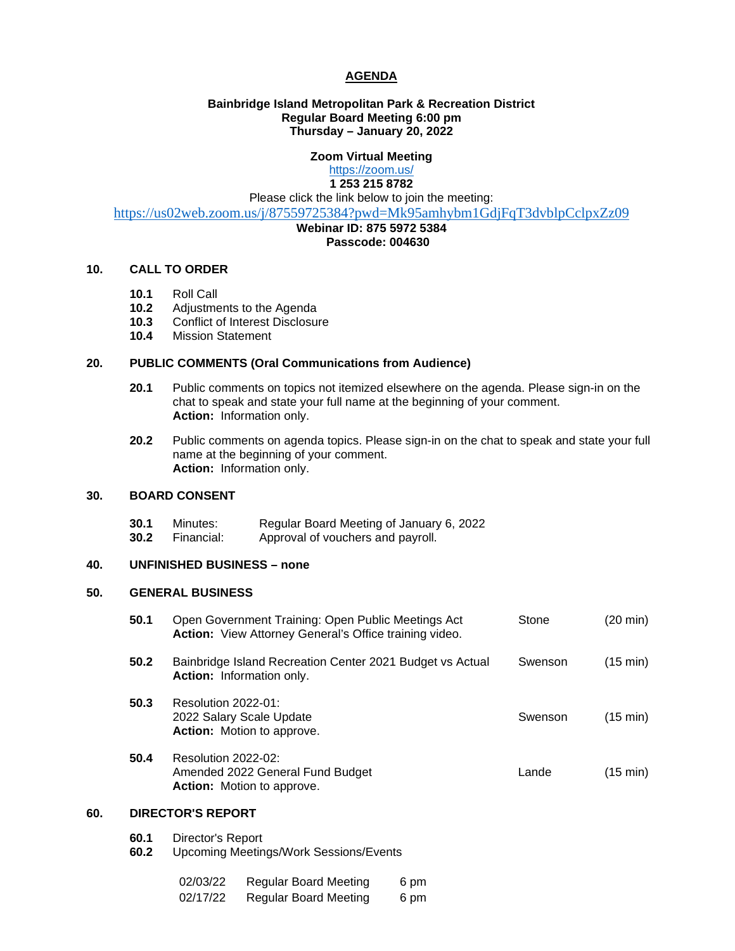# **AGENDA**

# **Bainbridge Island Metropolitan Park & Recreation District Regular Board Meeting 6:00 pm Thursday – January 20, 2022**

# **Zoom Virtual Meeting**

<https://zoom.us/> **1 253 215 8782**

Please click the link below to join the meeting:

<https://us02web.zoom.us/j/87559725384?pwd=Mk95amhybm1GdjFqT3dvblpCclpxZz09>

#### **Webinar ID: 875 5972 5384 Passcode: 004630**

### **10. CALL TO ORDER**

- **10.1** Roll Call
- 10.2 Adjustments to the Agenda<br>10.3 Conflict of Interest Disclosu
- 10.3 Conflict of Interest Disclosure<br>10.4 Mission Statement
- **10.4** Mission Statement

# **20. PUBLIC COMMENTS (Oral Communications from Audience)**

- **20.1** Public comments on topics not itemized elsewhere on the agenda. Please sign-in on the chat to speak and state your full name at the beginning of your comment. **Action:** Information only.
- **20.2** Public comments on agenda topics. Please sign-in on the chat to speak and state your full name at the beginning of your comment. **Action:** Information only.

## **30. BOARD CONSENT**

- **30.1** Minutes: Regular Board Meeting of January 6, 2022<br>**30.2** Financial: Approval of vouchers and payroll.
	- Approval of vouchers and payroll.

#### **40. UNFINISHED BUSINESS – none**

#### **50. GENERAL BUSINESS**

| 50.1 | Open Government Training: Open Public Meetings Act<br>Action: View Attorney General's Office training video. | Stone   | (20 min) |
|------|--------------------------------------------------------------------------------------------------------------|---------|----------|
| 50.2 | Bainbridge Island Recreation Center 2021 Budget vs Actual<br><b>Action:</b> Information only.                | Swenson | (15 min) |
| 50.3 | Resolution 2022-01:<br>2022 Salary Scale Update<br><b>Action:</b> Motion to approve.                         | Swenson | (15 min) |
| 50.4 | Resolution 2022-02:<br>Amended 2022 General Fund Budget<br>Action: Motion to approve.                        | Lande   | (15 min) |

# **60. DIRECTOR'S REPORT**

- **60.1** Director's Report
- **60.2** Upcoming Meetings/Work Sessions/Events

| 02/03/22 | <b>Regular Board Meeting</b> | 6 pm |
|----------|------------------------------|------|
| 02/17/22 | <b>Regular Board Meeting</b> | 6 pm |